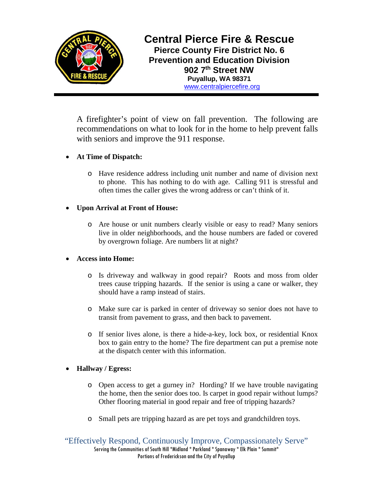

**Central Pierce Fire & Rescue Pierce County Fire District No. 6 Prevention and Education Division 902 7th Street NW Puyallup, WA 98371** [www.centralpiercefire.org](http://www.centralpiercefire.org/)

A firefighter's point of view on fall prevention. The following are recommendations on what to look for in the home to help prevent falls with seniors and improve the 911 response.

# • **At Time of Dispatch:**

o Have residence address including unit number and name of division next to phone. This has nothing to do with age. Calling 911 is stressful and often times the caller gives the wrong address or can't think of it.

### • **Upon Arrival at Front of House:**

o Are house or unit numbers clearly visible or easy to read? Many seniors live in older neighborhoods, and the house numbers are faded or covered by overgrown foliage. Are numbers lit at night?

# • **Access into Home:**

- o Is driveway and walkway in good repair? Roots and moss from older trees cause tripping hazards. If the senior is using a cane or walker, they should have a ramp instead of stairs.
- o Make sure car is parked in center of driveway so senior does not have to transit from pavement to grass, and then back to pavement.
- o If senior lives alone, is there a hide-a-key, lock box, or residential Knox box to gain entry to the home? The fire department can put a premise note at the dispatch center with this information.

# • **Hallway / Egress:**

- o Open access to get a gurney in? Hording? If we have trouble navigating the home, then the senior does too. Is carpet in good repair without lumps? Other flooring material in good repair and free of tripping hazards?
- o Small pets are tripping hazard as are pet toys and grandchildren toys.